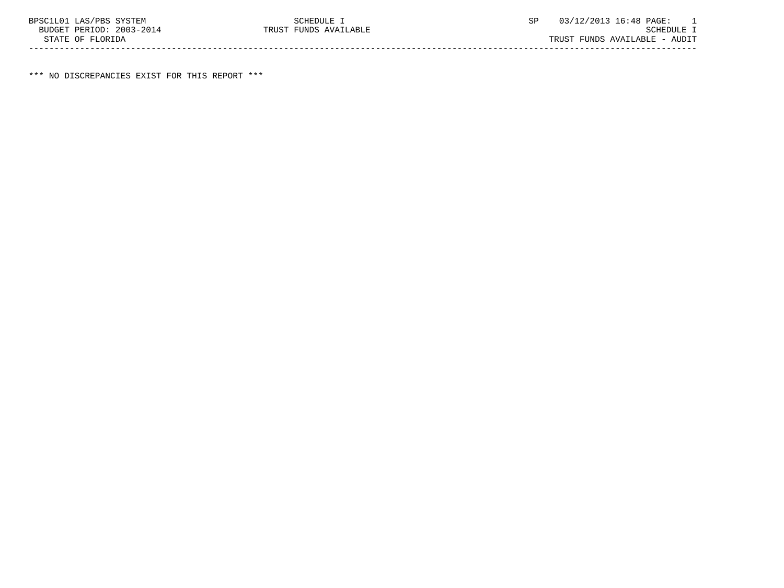\*\*\* NO DISCREPANCIES EXIST FOR THIS REPORT \*\*\*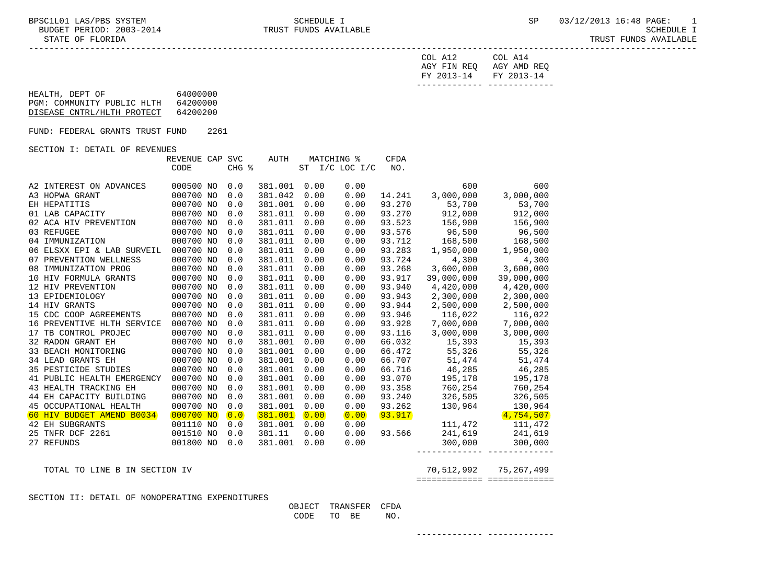-----------------------------------------------------------------------------------------------------------------------------------

| FY 2013-14 FY 2013-14   |         |
|-------------------------|---------|
| AGY FIN REQ AGY AMD REQ |         |
| COL A12                 | COL A14 |

| HEALTH, DEPT OF            | 64000000 |
|----------------------------|----------|
| PGM: COMMUNITY PUBLIC HLTH | 64200000 |
| DISEASE CNTRL/HLTH PROTECT | 64200200 |
|                            |          |

FUND: FEDERAL GRANTS TRUST FUND 2261

## SECTION I: DETAIL OF REVENUES

|                             | REVENUE CAP SVC |               | AUTH    |           | <b>MATCHING %</b> | <b>CFDA</b> |            |            |
|-----------------------------|-----------------|---------------|---------|-----------|-------------------|-------------|------------|------------|
|                             | CODE            | CHG %         |         | <b>ST</b> | $I/C$ LOC $I/C$   | NO.         |            |            |
|                             |                 |               |         |           |                   |             |            |            |
| A2 INTEREST ON ADVANCES     | 000500 NO       | 0.0           | 381.001 | 0.00      | 0.00              |             | 600        | 600        |
| A3 HOPWA GRANT              | 000700 NO       | 0.0           | 381.042 | 0.00      | 0.00              | 14.241      | 3,000,000  | 3,000,000  |
| EH HEPATITIS                | 000700 NO       | 0.0           | 381.001 | 0.00      | 0.00              | 93.270      | 53,700     | 53,700     |
| 01 LAB CAPACITY             | 000700 NO       | 0.0           | 381.011 | 0.00      | 0.00              | 93.270      | 912,000    | 912,000    |
| 02 ACA HIV PREVENTION       | 000700 NO       | 0.0           | 381.011 | 0.00      | 0.00              | 93.523      | 156,900    | 156,900    |
| 03 REFUGEE                  | 000700 NO       | 0.0           | 381.011 | 0.00      | 0.00              | 93.576      | 96,500     | 96,500     |
| 04 IMMUNIZATION             | 000700 NO       | 0.0           | 381.011 | 0.00      | 0.00              | 93.712      | 168,500    | 168,500    |
| 06 ELSXX EPI & LAB SURVEIL  | 000700 NO       | 0.0           | 381.011 | 0.00      | 0.00              | 93.283      | 1,950,000  | 1,950,000  |
| PREVENTION WELLNESS<br>07   | 000700 NO       | 0.0           | 381.011 | 0.00      | 0.00              | 93.724      | 4,300      | 4,300      |
| IMMUNIZATION PROG<br>08     | 000700 NO       | 0.0           | 381.011 | 0.00      | 0.00              | 93.268      | 3,600,000  | 3,600,000  |
| 10 HIV FORMULA GRANTS       | 000700 NO       | 0.0           | 381.011 | 0.00      | 0.00              | 93.917      | 39,000,000 | 39,000,000 |
| 12 HIV PREVENTION           | 000700 NO       | 0.0           | 381.011 | 0.00      | 0.00              | 93.940      | 4,420,000  | 4,420,000  |
| 13 EPIDEMIOLOGY             | 000700 NO       | 0.0           | 381.011 | 0.00      | 0.00              | 93.943      | 2,300,000  | 2,300,000  |
| 14 HIV GRANTS               | 000700 NO       | 0.0           | 381.011 | 0.00      | 0.00              | 93.944      | 2,500,000  | 2,500,000  |
| 15 CDC COOP AGREEMENTS      | 000700 NO       | 0.0           | 381.011 | 0.00      | 0.00              | 93.946      | 116,022    | 116,022    |
| 16 PREVENTIVE HLTH SERVICE  | 000700 NO       | 0.0           | 381.011 | 0.00      | 0.00              | 93.928      | 7,000,000  | 7,000,000  |
| TB CONTROL PROJEC<br>17     | 000700 NO       | 0.0           | 381.011 | 0.00      | 0.00              | 93.116      | 3,000,000  | 3,000,000  |
| 32 RADON GRANT EH           | 000700 NO       | 0.0           | 381.001 | 0.00      | 0.00              | 66.032      | 15,393     | 15,393     |
| 33 BEACH MONITORING         | 000700 NO       | 0.0           | 381.001 | 0.00      | 0.00              | 66.472      | 55,326     | 55,326     |
| <b>34 LEAD GRANTS EH</b>    | 000700 NO       | 0.0           | 381.001 | 0.00      | 0.00              | 66.707      | 51,474     | 51,474     |
| <b>35 PESTICIDE STUDIES</b> | 000700 NO       | 0.0           | 381.001 | 0.00      | 0.00              | 66.716      | 46,285     | 46,285     |
| 41 PUBLIC HEALTH EMERGENCY  | 000700 NO       | 0.0           | 381.001 | 0.00      | 0.00              | 93.070      | 195,178    | 195,178    |
| 43 HEALTH TRACKING EH       | 000700 NO       | 0.0           | 381.001 | 0.00      | 0.00              | 93.358      | 760,254    | 760,254    |
| 44 EH CAPACITY BUILDING     | 000700 NO       | 0.0           | 381.001 | 0.00      | 0.00              | 93.240      | 326,505    | 326,505    |
| 45 OCCUPATIONAL HEALTH      | 000700 NO       | 0.0           | 381.001 | 0.00      | 0.00              | 93.262      | 130,964    | 130,964    |
| 60 HIV BUDGET AMEND B0034   | 000700 NO       | $\boxed{0.0}$ | 381.001 | 0.00      | 0.00              | 93.917      |            | 4,754,507  |
| 42 EH SUBGRANTS             | 001110 NO       | 0.0           | 381.001 | 0.00      | 0.00              |             | 111,472    | 111,472    |
| TNFR DCF 2261<br>25         | 001510 NO       | 0.0           | 381.11  | 0.00      | 0.00              | 93.566      | 241,619    | 241,619    |
| 27 REFUNDS                  | 001800 NO       | 0.0           | 381.001 | 0.00      | 0.00              |             | 300,000    | 300,000    |
|                             |                 |               |         |           |                   |             |            |            |

 TOTAL TO LINE B IN SECTION IV 70,512,992 75,267,499 ============= =============

SECTION II: DETAIL OF NONOPERATING EXPENDITURES

| OBJECT |      | TRANSFER CFDA |     |  |
|--------|------|---------------|-----|--|
| CODE   | TO T | BE            | NO. |  |

------------- -------------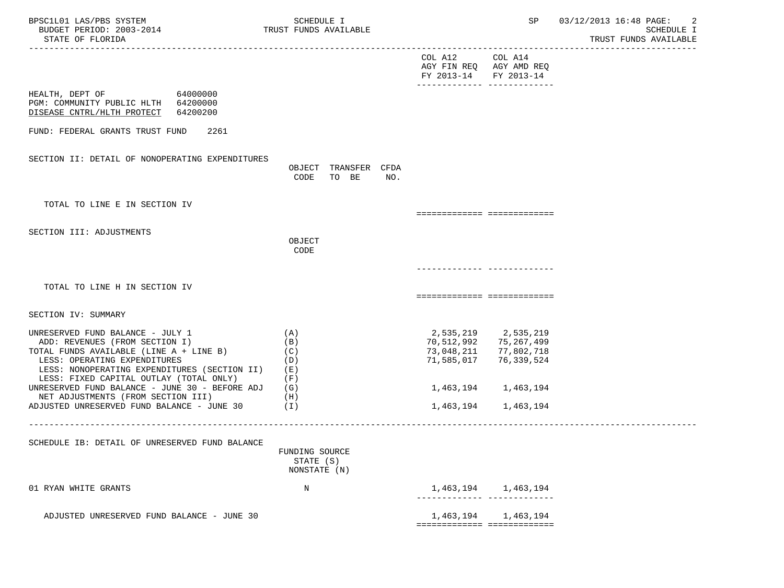| BPSC1L01 LAS/PBS SYSTEM<br>BUDGET PERIOD: 2003-2014<br>STATE OF FLORIDA                                                                                                                       |                          | SCHEDULE I                                  | TRUST FUNDS AVAILABLE         |     |                                                                     | SP                                                            | 03/12/2013 16:48 PAGE:<br>-2<br><b>SCHEDULE I</b><br>TRUST FUNDS AVAILABLE |
|-----------------------------------------------------------------------------------------------------------------------------------------------------------------------------------------------|--------------------------|---------------------------------------------|-------------------------------|-----|---------------------------------------------------------------------|---------------------------------------------------------------|----------------------------------------------------------------------------|
|                                                                                                                                                                                               |                          |                                             |                               |     | COL A12 COL A14<br>AGY FIN REQ AGY AMD REQ<br>FY 2013-14 FY 2013-14 |                                                               |                                                                            |
| HEALTH, DEPT OF 64000000<br>PGM: COMMUNITY PUBLIC HLTH 64200000<br>DISEASE CNTRL/HLTH PROTECT 64200200                                                                                        |                          |                                             |                               |     |                                                                     |                                                               |                                                                            |
| FUND: FEDERAL GRANTS TRUST FUND<br>2261                                                                                                                                                       |                          |                                             |                               |     |                                                                     |                                                               |                                                                            |
| SECTION II: DETAIL OF NONOPERATING EXPENDITURES                                                                                                                                               |                          | CODE                                        | OBJECT TRANSFER CFDA<br>TO BE | NO. |                                                                     |                                                               |                                                                            |
| TOTAL TO LINE E IN SECTION IV                                                                                                                                                                 |                          |                                             |                               |     | ===========================                                         |                                                               |                                                                            |
| SECTION III: ADJUSTMENTS                                                                                                                                                                      |                          | OBJECT<br>CODE                              |                               |     |                                                                     |                                                               |                                                                            |
|                                                                                                                                                                                               |                          |                                             |                               |     |                                                                     |                                                               |                                                                            |
| TOTAL TO LINE H IN SECTION IV                                                                                                                                                                 |                          |                                             |                               |     | ===========================                                         |                                                               |                                                                            |
| SECTION IV: SUMMARY                                                                                                                                                                           |                          |                                             |                               |     |                                                                     |                                                               |                                                                            |
| UNRESERVED FUND BALANCE - JULY 1<br>ADD: REVENUES (FROM SECTION I)<br>TOTAL FUNDS AVAILABLE (LINE A + LINE B)<br>LESS: OPERATING EXPENDITURES<br>LESS: NONOPERATING EXPENDITURES (SECTION II) | (A)<br>(B)<br>(C)<br>(E) | (D)                                         |                               |     | 70,512,992<br>73,048,211<br>71,585,017                              | 2,535,219 2,535,219<br>75,267,499<br>77,802,718<br>76,339,524 |                                                                            |
| LESS: FIXED CAPITAL OUTLAY (TOTAL ONLY)<br>UNRESERVED FUND BALANCE - JUNE 30 - BEFORE ADJ<br>NET ADJUSTMENTS (FROM SECTION III)                                                               | (F)<br>(G)<br>(H)        |                                             |                               |     |                                                                     | 1,463,194 1,463,194                                           |                                                                            |
| ADJUSTED UNRESERVED FUND BALANCE - JUNE $30$ (I)                                                                                                                                              |                          |                                             |                               |     | 1,463,194                                                           | 1,463,194                                                     |                                                                            |
| SCHEDULE IB: DETAIL OF UNRESERVED FUND BALANCE                                                                                                                                                |                          | FUNDING SOURCE<br>STATE (S)<br>NONSTATE (N) |                               |     |                                                                     |                                                               |                                                                            |
| 01 RYAN WHITE GRANTS                                                                                                                                                                          |                          | N                                           |                               |     |                                                                     | 1,463,194 1,463,194                                           |                                                                            |
| ADJUSTED UNRESERVED FUND BALANCE - JUNE 30                                                                                                                                                    |                          |                                             |                               |     | 1,463,194<br>============================                           | 1,463,194                                                     |                                                                            |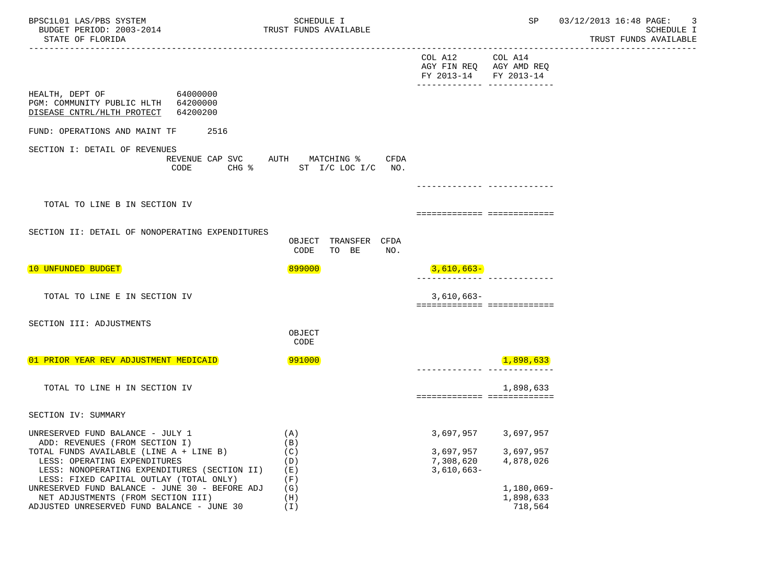| BPSC1L01 LAS/PBS SYSTEM<br>BUDGET PERIOD: 2003-2014<br>STATE OF FLORIDA                                                                                                                                                                  | SCHEDULE I<br>TRUST FUNDS AVAILABLE                                           |                                                  | SP                                                 | 03/12/2013 16:48 PAGE:<br>-3<br><b>SCHEDULE I</b><br>TRUST FUNDS AVAILABLE |
|------------------------------------------------------------------------------------------------------------------------------------------------------------------------------------------------------------------------------------------|-------------------------------------------------------------------------------|--------------------------------------------------|----------------------------------------------------|----------------------------------------------------------------------------|
|                                                                                                                                                                                                                                          |                                                                               | COL A12<br>AGY FIN REQ AGY AMD REQ<br>FY 2013-14 | COL A14<br>FY 2013-14<br>----------- ------------- |                                                                            |
| HEALTH, DEPT OF 64000000<br>PGM: COMMUNITY PUBLIC HLTH 64200000<br>DISEASE CNTRL/HLTH PROTECT 64200200                                                                                                                                   |                                                                               |                                                  |                                                    |                                                                            |
| 2516<br>FUND: OPERATIONS AND MAINT TF                                                                                                                                                                                                    |                                                                               |                                                  |                                                    |                                                                            |
| SECTION I: DETAIL OF REVENUES<br>CODE                                                                                                                                                                                                    | REVENUE CAP SVC AUTH MATCHING %<br>CFDA<br>CHG $\text{\$}$ ST I/C LOC I/C NO. |                                                  |                                                    |                                                                            |
|                                                                                                                                                                                                                                          |                                                                               |                                                  |                                                    |                                                                            |
| TOTAL TO LINE B IN SECTION IV                                                                                                                                                                                                            |                                                                               | ===========================                      |                                                    |                                                                            |
| SECTION II: DETAIL OF NONOPERATING EXPENDITURES                                                                                                                                                                                          | OBJECT TRANSFER CFDA<br>CODE<br>TO BE<br>NO.                                  |                                                  |                                                    |                                                                            |
| 10 UNFUNDED BUDGET                                                                                                                                                                                                                       | 899000                                                                        | $3,610,663-$                                     |                                                    |                                                                            |
| TOTAL TO LINE E IN SECTION IV                                                                                                                                                                                                            |                                                                               | $3,610,663-$<br>===========================      |                                                    |                                                                            |
| SECTION III: ADJUSTMENTS                                                                                                                                                                                                                 | OBJECT<br>CODE                                                                |                                                  |                                                    |                                                                            |
| 01 PRIOR YEAR REV ADJUSTMENT MEDICAID                                                                                                                                                                                                    | 991000                                                                        |                                                  | 1,898,633                                          |                                                                            |
| TOTAL TO LINE H IN SECTION IV                                                                                                                                                                                                            |                                                                               | ===========================                      | 1,898,633                                          |                                                                            |
| SECTION IV: SUMMARY                                                                                                                                                                                                                      |                                                                               |                                                  |                                                    |                                                                            |
| UNRESERVED FUND BALANCE - JULY 1<br>ADD: REVENUES (FROM SECTION I)<br>TOTAL FUNDS AVAILABLE (LINE A + LINE B)<br>LESS: OPERATING EXPENDITURES<br>LESS: NONOPERATING EXPENDITURES (SECTION II)<br>LESS: FIXED CAPITAL OUTLAY (TOTAL ONLY) | (A)<br>(B)<br>(C)<br>(D)<br>(E)<br>(F)                                        | 3,697,957<br>7,308,620<br>$3,610,663-$           | 3,697,957 3,697,957<br>3,697,957<br>4,878,026      |                                                                            |
| UNRESERVED FUND BALANCE - JUNE 30 - BEFORE ADJ<br>NET ADJUSTMENTS (FROM SECTION III)<br>ADJUSTED UNRESERVED FUND BALANCE - JUNE 30                                                                                                       | (G)<br>(H)<br>(I)                                                             |                                                  | 1,180,069-<br>1,898,633<br>718,564                 |                                                                            |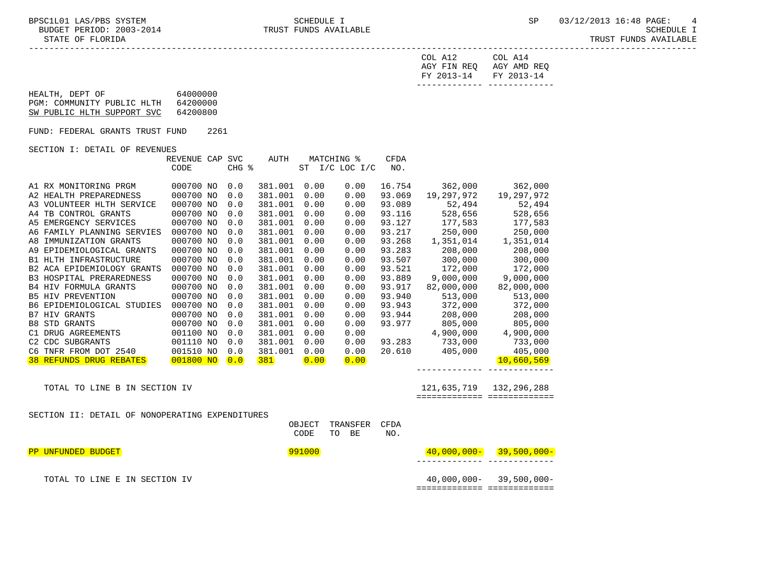-----------------------------------------------------------------------------------------------------------------------------------

| FY 2013-14 FY 2013-14   |         |
|-------------------------|---------|
| AGY FIN REQ AGY AMD REQ |         |
| COL A12                 | COL A14 |

| HEALTH, DEPT OF            | 64000000 |
|----------------------------|----------|
| PGM: COMMUNITY PUBLIC HLTH | 64200000 |
| SW PUBLIC HLTH SUPPORT SVC | 64200800 |

FUND: FEDERAL GRANTS TRUST FUND 2261

## SECTION I: DETAIL OF REVENUES

|                                                 | REVENUE CAP | <b>SVC</b>    | AUTH    |                | MATCHING %      | <b>CFDA</b> |                      |             |
|-------------------------------------------------|-------------|---------------|---------|----------------|-----------------|-------------|----------------------|-------------|
|                                                 | CODE        | CHG %         |         | ST             | $I/C$ LOC $I/C$ | NO.         |                      |             |
| A1 RX MONITORING PRGM                           | 000700 NO   | 0.0           | 381.001 | 0.00           | 0.00            | 16.754      | 362,000              | 362,000     |
| A2 HEALTH PREPAREDNESS                          | 000700 NO   | 0.0           | 381.001 | 0.00           | 0.00            | 93.069      | 19,297,972           | 19,297,972  |
| A3 VOLUNTEER HLTH SERVICE                       | 000700 NO   | 0.0           | 381.001 | 0.00           | 0.00            | 93.089      | 52,494               | 52,494      |
| TB CONTROL GRANTS<br>A4                         | 000700 NO   | 0.0           | 381.001 | 0.00           | 0.00            | 93.116      | 528,656              | 528,656     |
| EMERGENCY SERVICES<br>A5                        | 000700 NO   | 0.0           | 381.001 | 0.00           | 0.00            | 93.127      | 177,583              | 177,583     |
| FAMILY PLANNING SERVIES<br>A6                   | 000700 NO   | 0.0           | 381.001 | 0.00           | 0.00            | 93.217      | 250,000              | 250,000     |
| IMMUNIZATION GRANTS<br>A8                       | 000700 NO   | 0.0           | 381.001 | 0.00           | 0.00            | 93.268      | 1,351,014            | 1,351,014   |
| EPIDEMIOLOGICAL GRANTS<br>A9                    | 000700 NO   | 0.0           | 381.001 | 0.00           | 0.00            | 93.283      | 208,000              | 208,000     |
| HLTH INFRASTRUCTURE<br><b>B1</b>                | 000700 NO   | 0.0           | 381.001 | 0.00           | 0.00            | 93.507      | 300,000              | 300,000     |
| B2 ACA EPIDEMIOLOGY GRANTS                      | 000700 NO   | 0.0           | 381.001 | 0.00           | 0.00            | 93.521      | 172,000              | 172,000     |
| <b>B3 HOSPITAL PRERAREDNESS</b>                 | 000700 NO   | 0.0           | 381.001 | 0.00           | 0.00            | 93.889      | 9,000,000            | 9,000,000   |
| <b>B4 HIV FORMULA GRANTS</b>                    | 000700 NO   | 0.0           | 381.001 | 0.00           | 0.00            | 93.917      | 82,000,000           | 82,000,000  |
| <b>B5 HIV PREVENTION</b>                        | 000700 NO   | 0.0           | 381.001 | 0.00           | 0.00            | 93.940      | 513,000              | 513,000     |
| EPIDEMIOLOGICAL STUDIES<br>B6.                  | 000700 NO   | 0.0           | 381.001 | 0.00           | 0.00            | 93.943      | 372,000              | 372,000     |
| HIV GRANTS<br>B7                                | 000700 NO   | 0.0           | 381.001 | 0.00           | 0.00            | 93.944      | 208,000              | 208,000     |
| STD GRANTS<br>B8                                | 000700 NO   | 0.0           | 381.001 | 0.00           | 0.00            | 93.977      | 805,000              | 805,000     |
| DRUG AGREEMENTS<br>C1                           | 001100 NO   | 0.0           | 381.001 | 0.00           | 0.00            |             | 4,900,000            | 4,900,000   |
| CDC SUBGRANTS<br>C2                             | 001110 NO   | 0.0           | 381.001 | 0.00           | 0.00            | 93.283      | 733,000              | 733,000     |
| TNFR FROM DOT 2540<br>C <sub>6</sub>            | 001510 NO   | 0.0           | 381.001 | 0.00           | 0.00            | 20.610      | 405,000              | 405,000     |
| REFUNDS DRUG REBATES<br>38                      | 001800 NO   | $\boxed{0.0}$ | 381     | $\boxed{0.00}$ | $\boxed{0.00}$  |             |                      | 10,660,569  |
|                                                 |             |               |         |                |                 |             |                      |             |
| TOTAL TO LINE B IN SECTION IV                   |             |               |         |                |                 |             | 121,635,719          | 132,296,288 |
|                                                 |             |               |         |                |                 |             | ==================== |             |
| SECTION II: DETAIL OF NONOPERATING EXPENDITURES |             |               |         |                |                 |             |                      |             |
|                                                 |             |               |         |                |                 |             |                      |             |

 OBJECT TRANSFER CFDA CODE TO BE NO. PP UNFUNDED BUDGET 991000 40,000,000- 39,500,000- ------------- ------------- TOTAL TO LINE E IN SECTION IV 40,000,000- 39,500,000- ============= =============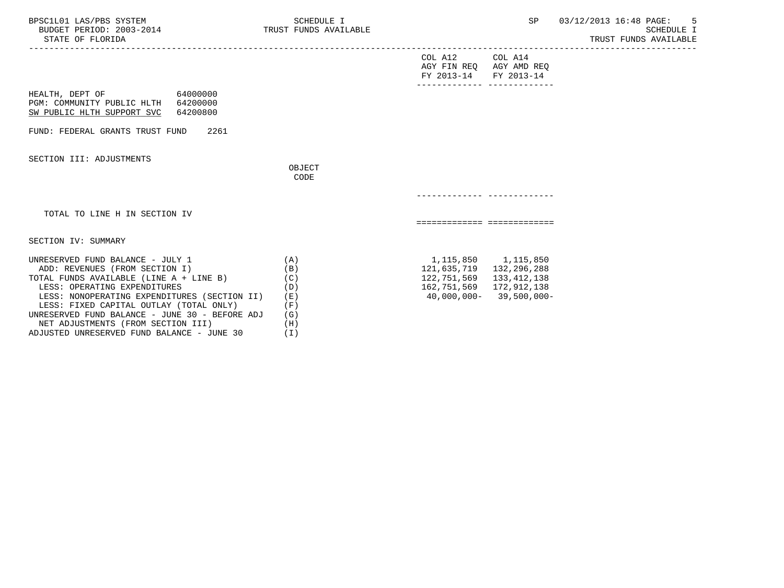| BPSC1L01 LAS/PBS SYSTEM<br>BUDGET PERIOD: 2003-2014<br>STATE OF FLORIDA                                                                                                                                                                                                                                                                                                        | SCHEDULE I<br>TRUST FUNDS AVAILABLE                         |                                                                                                      | SP                          | 03/12/2013 16:48 PAGE:<br>-5<br>SCHEDULE I<br>TRUST FUNDS AVAILABLE |
|--------------------------------------------------------------------------------------------------------------------------------------------------------------------------------------------------------------------------------------------------------------------------------------------------------------------------------------------------------------------------------|-------------------------------------------------------------|------------------------------------------------------------------------------------------------------|-----------------------------|---------------------------------------------------------------------|
|                                                                                                                                                                                                                                                                                                                                                                                |                                                             | COL A12 COL A14<br>AGY FIN REQ AGY AMD REQ<br>FY 2013-14<br>-------------- --------------            | FY 2013-14                  |                                                                     |
| 64000000<br>HEALTH, DEPT OF<br>PGM: COMMUNITY PUBLIC HLTH 64200000<br>SW PUBLIC HLTH SUPPORT SVC<br>64200800                                                                                                                                                                                                                                                                   |                                                             |                                                                                                      |                             |                                                                     |
| FUND: FEDERAL GRANTS TRUST FUND<br>2261                                                                                                                                                                                                                                                                                                                                        |                                                             |                                                                                                      |                             |                                                                     |
| SECTION III: ADJUSTMENTS                                                                                                                                                                                                                                                                                                                                                       | OBJECT<br>CODE                                              |                                                                                                      |                             |                                                                     |
|                                                                                                                                                                                                                                                                                                                                                                                |                                                             |                                                                                                      |                             |                                                                     |
| TOTAL TO LINE H IN SECTION IV                                                                                                                                                                                                                                                                                                                                                  |                                                             | ============================                                                                         |                             |                                                                     |
| SECTION IV: SUMMARY                                                                                                                                                                                                                                                                                                                                                            |                                                             |                                                                                                      |                             |                                                                     |
| UNRESERVED FUND BALANCE - JULY 1<br>ADD: REVENUES (FROM SECTION I)<br>TOTAL FUNDS AVAILABLE (LINE A + LINE B)<br>LESS: OPERATING EXPENDITURES<br>LESS: NONOPERATING EXPENDITURES (SECTION II)<br>LESS: FIXED CAPITAL OUTLAY (TOTAL ONLY)<br>UNRESERVED FUND BALANCE - JUNE 30 - BEFORE ADJ<br>NET ADJUSTMENTS (FROM SECTION III)<br>ADJUSTED UNRESERVED FUND BALANCE - JUNE 30 | (A)<br>(B)<br>(C)<br>(D)<br>(日)<br>(F)<br>(G)<br>(H)<br>(T) | 1,115,850 1,115,850<br>121,635,719 132,296,288<br>122,751,569 133,412,138<br>162,751,569 172,912,138 | $40,000,000 - 39,500,000 -$ |                                                                     |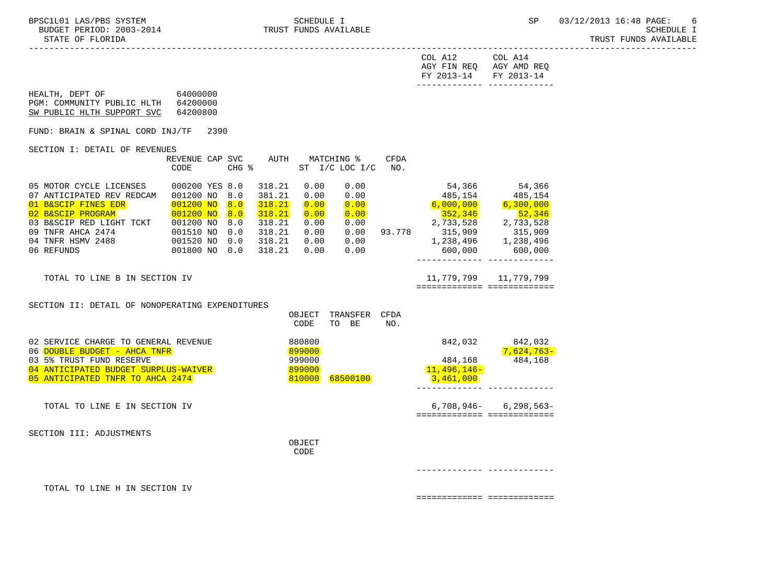-----------------------------------------------------------------------------------------------------------------------------------

 AGY FIN REQ AGY AMD REQ FY 2013-14 FY 2013-14 ------------- ------------- HEALTH, DEPT OF 64000000 PGM: COMMUNITY PUBLIC HLTH 64200000 SW PUBLIC HLTH SUPPORT SVC 64200800 FUND: BRAIN & SPINAL CORD INJ/TF 2390 SECTION I: DETAIL OF REVENUES REVENUE CAP SVC AUTH MATCHING % CFDA CODE CHG % ST I/C LOC I/C NO. 05 MOTOR CYCLE LICENSES 000200 YES 8.0 318.21 0.00 0.00 54,366 54,366 07 ANTICIPATED REV REDCAM 001200 NO 8.0 381.21 0.00 0.00 485,154 485,154 01 B&SCIP FINES EDR 001200 NO 8.0 318.21 0.00 0.00 6,000,000 6,300,000 02 B&SCIP PROGRAM 001200 NO 8.0 318.21 0.00 0.00 352,346 52,346 03 B&SCIP RED LIGHT TCKT 001200 NO 8.0 318.21 0.00 0.00 2,733,528 2,733,528 09 TNFR AHCA 2474 001510 NO 0.0 318.21 0.00 0.00 93.778 315,909 315,909 04 TNFR HSMV 2488 001520 NO 0.0 318.21 0.00 0.00 1,238,496 1,238,496 06 REFUNDS 001800 NO 0.0 318.21 0.00 0.00 ------------- ------------- TOTAL TO LINE B IN SECTION IV 11,779,799 11,779,799 11,779,799 ============= ============= SECTION II: DETAIL OF NONOPERATING EXPENDITURES OBJECT TRANSFER CFDA CODE TO BE NO. 02 SERVICE CHARGE TO GENERAL REVENUE 880800 842,032 842,032 842,032 06 DOUBLE BUDGET - AHCA TNFR 899000 7,624,763- 03 5% TRUST FUND RESERVE 168 (1999) 999000 999000 484,168 (1998) 999000 484,168 484,168 (1999) 999000 11,496,146-04 ANTICIPATED BUDGET SURPLUS-WAIVER<br>195 ANTICIPATED TNER TO AHCA 2474 (899000) 88500100 (88500100 13.461.000 05 ANTICIPATED TNFR TO AHCA 2474 ------------- ------------- TOTAL TO LINE E IN SECTION IV **6,708,946-** 6,298,563- ============= ============= SECTION III: ADJUSTMENTS OBJECT **CODE**  ------------- ------------- TOTAL TO LINE H IN SECTION IV

============= =============

COL A12 COL A14